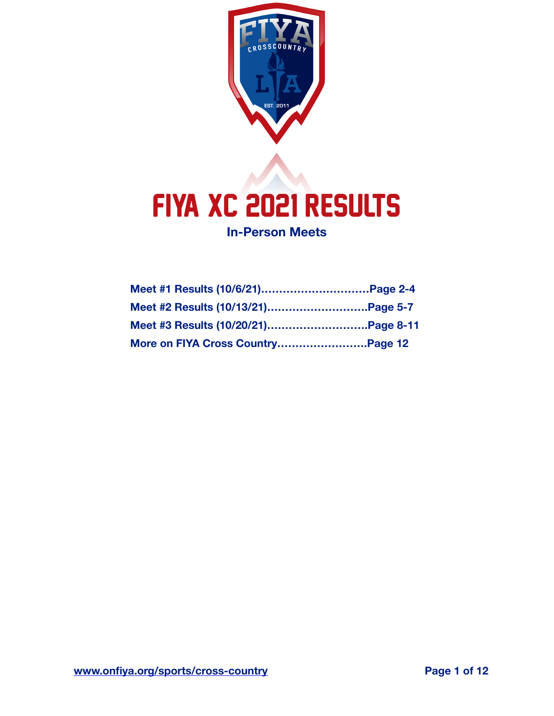

# FIYA XC 2021 RESULTS

**In-Person Meets**

| Meet #2 Results (10/13/21)Page 5-7 |  |
|------------------------------------|--|
|                                    |  |
| More on FIYA Cross CountryPage 12  |  |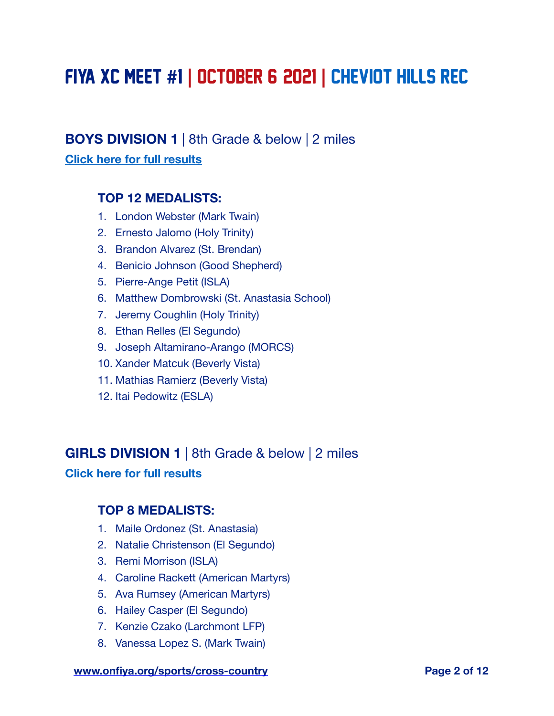# FIYA XC MEET **#**1 **|** OCTOBER 6, 2021 **|** cheviot hills rec

# **BOYS DIVISION 1** | 8th Grade & below | 2 miles

#### **[Click here for full results](https://www.athletic.net/CrossCountry/meet/198781/results/796633)**

#### **TOP 12 MEDALISTS:**

- 1. London Webster (Mark Twain)
- 2. Ernesto Jalomo (Holy Trinity)
- 3. Brandon Alvarez (St. Brendan)
- 4. Benicio Johnson (Good Shepherd)
- 5. Pierre-Ange Petit (ISLA)
- 6. Matthew Dombrowski (St. Anastasia School)
- 7. Jeremy Coughlin (Holy Trinity)
- 8. Ethan Relles (El Segundo)
- 9. Joseph Altamirano-Arango (MORCS)
- 10. Xander Matcuk (Beverly Vista)
- 11. Mathias Ramierz (Beverly Vista)
- 12. Itai Pedowitz (ESLA)

### **GIRLS DIVISION 1** | 8th Grade & below | 2 miles

#### **[Click here for full results](https://www.athletic.net/CrossCountry/meet/198781/results/796634)**

#### **TOP 8 MEDALISTS:**

- 1. Maile Ordonez (St. Anastasia)
- 2. Natalie Christenson (El Segundo)
- 3. Remi Morrison (ISLA)
- 4. Caroline Rackett (American Martyrs)
- 5. Ava Rumsey (American Martyrs)
- 6. Hailey Casper (El Segundo)
- 7. Kenzie Czako (Larchmont LFP)
- 8. Vanessa Lopez S. (Mark Twain)

#### **[www.onfiya.org/sports/cross-country](https://onfiya.org/sports/cross-country/) Page 2 of 12**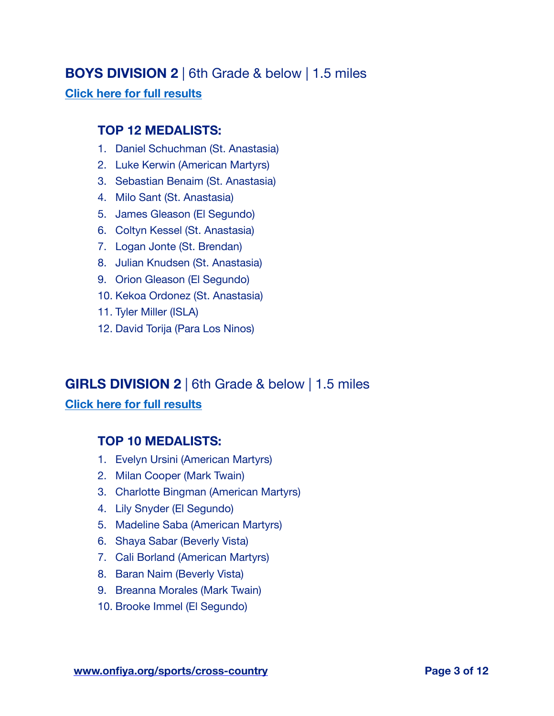# **BOYS DIVISION 2** | 6th Grade & below | 1.5 miles

#### **[Click here for full results](https://www.athletic.net/CrossCountry/meet/198781/results/796635)**

#### **TOP 12 MEDALISTS:**

- 1. Daniel Schuchman (St. Anastasia)
- 2. Luke Kerwin (American Martyrs)
- 3. Sebastian Benaim (St. Anastasia)
- 4. Milo Sant (St. Anastasia)
- 5. James Gleason (El Segundo)
- 6. Coltyn Kessel (St. Anastasia)
- 7. Logan Jonte (St. Brendan)
- 8. Julian Knudsen (St. Anastasia)
- 9. Orion Gleason (El Segundo)
- 10. Kekoa Ordonez (St. Anastasia)
- 11. Tyler Miller (ISLA)
- 12. David Torija (Para Los Ninos)

# **GIRLS DIVISION 2** | 6th Grade & below | 1.5 miles

#### **[Click here for full results](https://www.athletic.net/CrossCountry/meet/198781/results/796636)**

#### **TOP 10 MEDALISTS:**

- 1. Evelyn Ursini (American Martyrs)
- 2. Milan Cooper (Mark Twain)
- 3. Charlotte Bingman (American Martyrs)
- 4. Lily Snyder (El Segundo)
- 5. Madeline Saba (American Martyrs)
- 6. Shaya Sabar (Beverly Vista)
- 7. Cali Borland (American Martyrs)
- 8. Baran Naim (Beverly Vista)
- 9. Breanna Morales (Mark Twain)
- 10. Brooke Immel (El Segundo)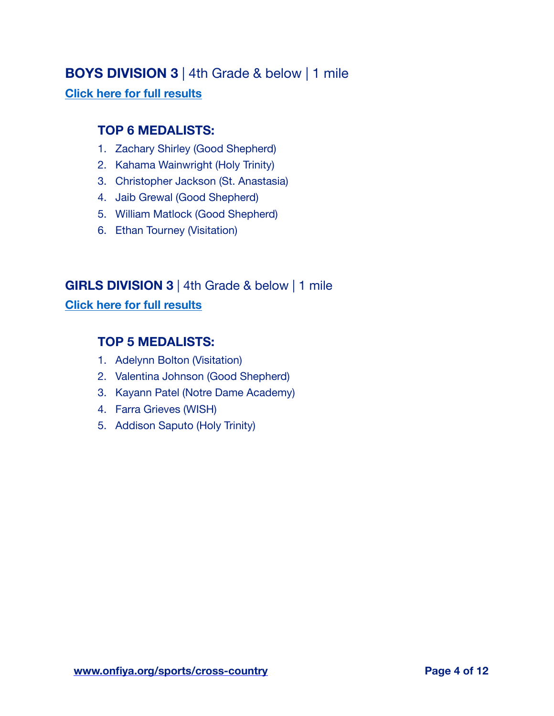# **BOYS DIVISION 3** | 4th Grade & below | 1 mile

#### **[Click here for full results](https://www.athletic.net/CrossCountry/meet/198781/results/796637)**

## **TOP 6 MEDALISTS:**

- 1. Zachary Shirley (Good Shepherd)
- 2. Kahama Wainwright (Holy Trinity)
- 3. Christopher Jackson (St. Anastasia)
- 4. Jaib Grewal (Good Shepherd)
- 5. William Matlock (Good Shepherd)
- 6. Ethan Tourney (Visitation)

# **GIRLS DIVISION 3** | 4th Grade & below | 1 mile

#### **[Click here for full results](https://www.athletic.net/CrossCountry/meet/198781/results/796638)**

# **TOP 5 MEDALISTS:**

- 1. Adelynn Bolton (Visitation)
- 2. Valentina Johnson (Good Shepherd)
- 3. Kayann Patel (Notre Dame Academy)
- 4. Farra Grieves (WISH)
- 5. Addison Saputo (Holy Trinity)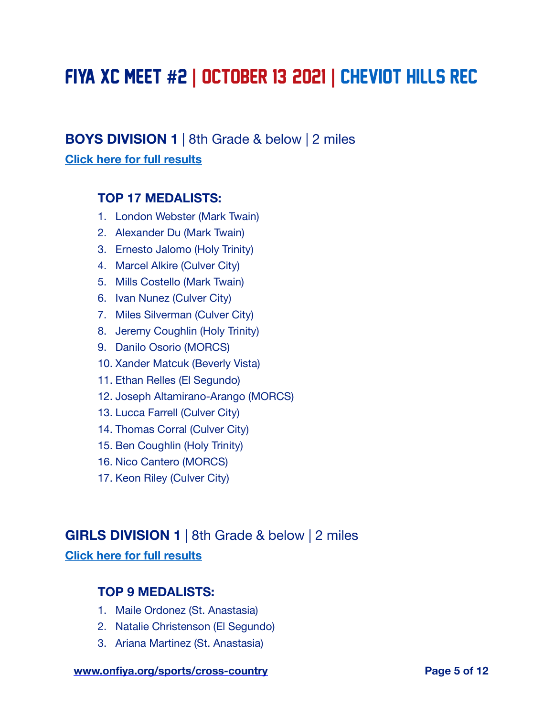# FIYA XC MEET **#**2 **|** OCTOBER 13, 2021 **|** cheviot hills rec

# **BOYS DIVISION 1** | 8th Grade & below | 2 miles

#### **[Click here for full results](https://www.athletic.net/CrossCountry/meet/198783/results/796641)**

#### **TOP 17 MEDALISTS:**

- 1. London Webster (Mark Twain)
- 2. Alexander Du (Mark Twain)
- 3. Ernesto Jalomo (Holy Trinity)
- 4. Marcel Alkire (Culver City)
- 5. Mills Costello (Mark Twain)
- 6. Ivan Nunez (Culver City)
- 7. Miles Silverman (Culver City)
- 8. Jeremy Coughlin (Holy Trinity)
- 9. Danilo Osorio (MORCS)
- 10. Xander Matcuk (Beverly Vista)
- 11. Ethan Relles (El Segundo)
- 12. Joseph Altamirano-Arango (MORCS)
- 13. Lucca Farrell (Culver City)
- 14. Thomas Corral (Culver City)
- 15. Ben Coughlin (Holy Trinity)
- 16. Nico Cantero (MORCS)
- 17. Keon Riley (Culver City)

#### **GIRLS DIVISION 1** | 8th Grade & below | 2 miles

#### **[Click here for full results](https://www.athletic.net/CrossCountry/meet/198783/results/796642)**

#### **TOP 9 MEDALISTS:**

- 1. Maile Ordonez (St. Anastasia)
- 2. Natalie Christenson (El Segundo)
- 3. Ariana Martinez (St. Anastasia)

#### **[www.onfiya.org/sports/cross-country](https://onfiya.org/sports/cross-country/) Page 5 of 12**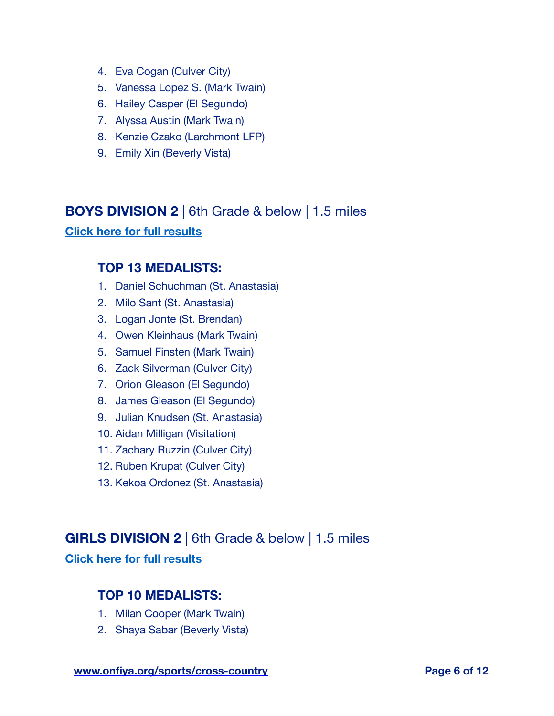- 4. Eva Cogan (Culver City)
- 5. Vanessa Lopez S. (Mark Twain)
- 6. Hailey Casper (El Segundo)
- 7. Alyssa Austin (Mark Twain)
- 8. Kenzie Czako (Larchmont LFP)
- 9. Emily Xin (Beverly Vista)

#### **BOYS DIVISION 2** | 6th Grade & below | 1.5 miles

**[Click here for full results](https://www.athletic.net/CrossCountry/meet/198783/results/796643)**

#### **TOP 13 MEDALISTS:**

- 1. Daniel Schuchman (St. Anastasia)
- 2. Milo Sant (St. Anastasia)
- 3. Logan Jonte (St. Brendan)
- 4. Owen Kleinhaus (Mark Twain)
- 5. Samuel Finsten (Mark Twain)
- 6. Zack Silverman (Culver City)
- 7. Orion Gleason (El Segundo)
- 8. James Gleason (El Segundo)
- 9. Julian Knudsen (St. Anastasia)
- 10. Aidan Milligan (Visitation)
- 11. Zachary Ruzzin (Culver City)
- 12. Ruben Krupat (Culver City)
- 13. Kekoa Ordonez (St. Anastasia)

## **GIRLS DIVISION 2** | 6th Grade & below | 1.5 miles

**[Click here for full results](https://www.athletic.net/CrossCountry/meet/198783/results/796644)**

#### **TOP 10 MEDALISTS:**

- 1. Milan Cooper (Mark Twain)
- 2. Shaya Sabar (Beverly Vista)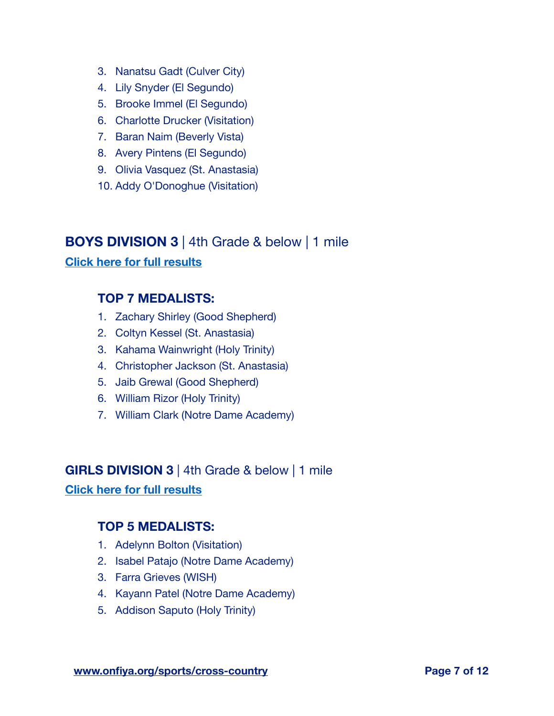- 3. Nanatsu Gadt (Culver City)
- 4. Lily Snyder (El Segundo)
- 5. Brooke Immel (El Segundo)
- 6. Charlotte Drucker (Visitation)
- 7. Baran Naim (Beverly Vista)
- 8. Avery Pintens (El Segundo)
- 9. Olivia Vasquez (St. Anastasia)
- 10. Addy O'Donoghue (Visitation)

# **BOYS DIVISION 3** | 4th Grade & below | 1 mile

#### **[Click here for full results](https://www.athletic.net/CrossCountry/meet/198783/results/796645)**

### **TOP 7 MEDALISTS:**

- 1. Zachary Shirley (Good Shepherd)
- 2. Coltyn Kessel (St. Anastasia)
- 3. Kahama Wainwright (Holy Trinity)
- 4. Christopher Jackson (St. Anastasia)
- 5. Jaib Grewal (Good Shepherd)
- 6. William Rizor (Holy Trinity)
- 7. William Clark (Notre Dame Academy)

# **GIRLS DIVISION 3** | 4th Grade & below | 1 mile

#### **[Click here for full results](https://www.athletic.net/CrossCountry/meet/198783/results/796646)**

#### **TOP 5 MEDALISTS:**

- 1. Adelynn Bolton (Visitation)
- 2. Isabel Patajo (Notre Dame Academy)
- 3. Farra Grieves (WISH)
- 4. Kayann Patel (Notre Dame Academy)
- 5. Addison Saputo (Holy Trinity)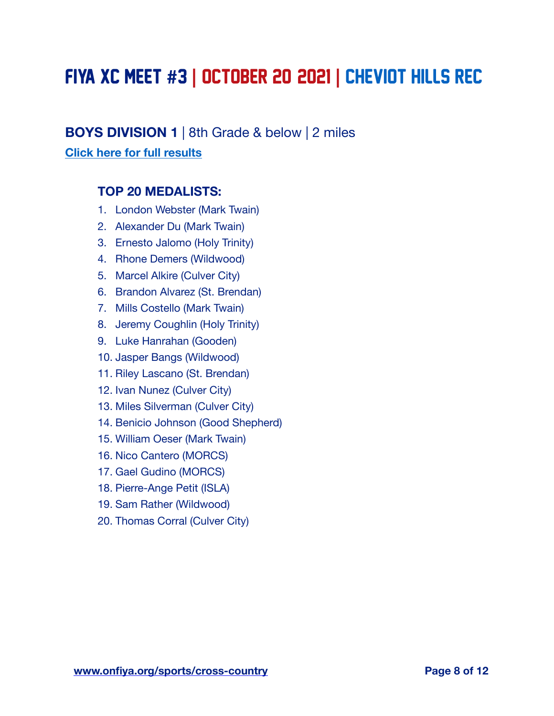# FIYA XC MEET **#**3 **|** OCTOBER 20, 2021 **|** cheviot hills rec

# **BOYS DIVISION 1** | 8th Grade & below | 2 miles

#### **[Click here for full results](https://www.athletic.net/CrossCountry/meet/198785/results/796651)**

#### **TOP 20 MEDALISTS:**

- 1. London Webster (Mark Twain)
- 2. Alexander Du (Mark Twain)
- 3. Ernesto Jalomo (Holy Trinity)
- 4. Rhone Demers (Wildwood)
- 5. Marcel Alkire (Culver City)
- 6. Brandon Alvarez (St. Brendan)
- 7. Mills Costello (Mark Twain)
- 8. Jeremy Coughlin (Holy Trinity)
- 9. Luke Hanrahan (Gooden)
- 10. Jasper Bangs (Wildwood)
- 11. Riley Lascano (St. Brendan)
- 12. Ivan Nunez (Culver City)
- 13. Miles Silverman (Culver City)
- 14. Benicio Johnson (Good Shepherd)
- 15. William Oeser (Mark Twain)
- 16. Nico Cantero (MORCS)
- 17. Gael Gudino (MORCS)
- 18. Pierre-Ange Petit (ISLA)
- 19. Sam Rather (Wildwood)
- 20. Thomas Corral (Culver City)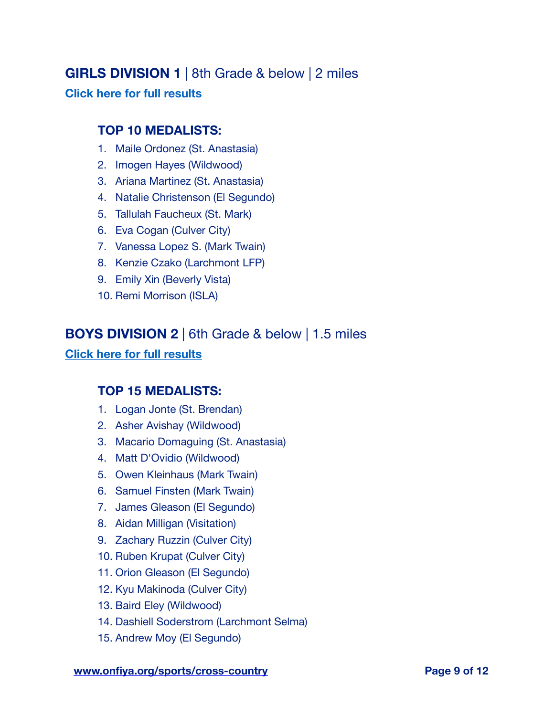# **GIRLS DIVISION 1** | 8th Grade & below | 2 miles

#### **[Click here for full results](https://www.athletic.net/CrossCountry/meet/198785/results/796652)**

#### **TOP 10 MEDALISTS:**

- 1. Maile Ordonez (St. Anastasia)
- 2. Imogen Hayes (Wildwood)
- 3. Ariana Martinez (St. Anastasia)
- 4. Natalie Christenson (El Segundo)
- 5. Tallulah Faucheux (St. Mark)
- 6. Eva Cogan (Culver City)
- 7. Vanessa Lopez S. (Mark Twain)
- 8. Kenzie Czako (Larchmont LFP)
- 9. Emily Xin (Beverly Vista)
- 10. Remi Morrison (ISLA)

# **BOYS DIVISION 2** | 6th Grade & below | 1.5 miles

#### **[Click here for full results](https://www.athletic.net/CrossCountry/meet/198785/results/796653)**

# **TOP 15 MEDALISTS:**

- 1. Logan Jonte (St. Brendan)
- 2. Asher Avishay (Wildwood)
- 3. Macario Domaguing (St. Anastasia)
- 4. Matt D'Ovidio (Wildwood)
- 5. Owen Kleinhaus (Mark Twain)
- 6. Samuel Finsten (Mark Twain)
- 7. James Gleason (El Segundo)
- 8. Aidan Milligan (Visitation)
- 9. Zachary Ruzzin (Culver City)
- 10. Ruben Krupat (Culver City)
- 11. Orion Gleason (El Segundo)
- 12. Kyu Makinoda (Culver City)
- 13. Baird Eley (Wildwood)
- 14. Dashiell Soderstrom (Larchmont Selma)
- 15. Andrew Moy (El Segundo)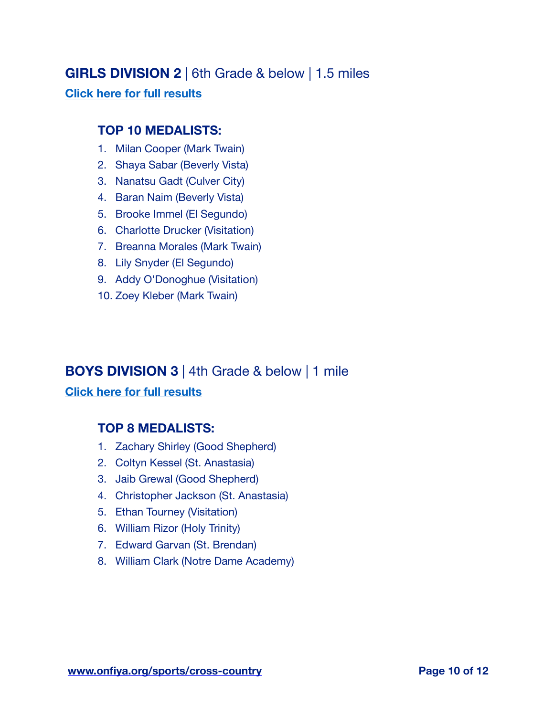# **GIRLS DIVISION 2** | 6th Grade & below | 1.5 miles

#### **[Click here for full results](https://www.athletic.net/CrossCountry/meet/198785/results/796654)**

#### **TOP 10 MEDALISTS:**

- 1. Milan Cooper (Mark Twain)
- 2. Shaya Sabar (Beverly Vista)
- 3. Nanatsu Gadt (Culver City)
- 4. Baran Naim (Beverly Vista)
- 5. Brooke Immel (El Segundo)
- 6. Charlotte Drucker (Visitation)
- 7. Breanna Morales (Mark Twain)
- 8. Lily Snyder (El Segundo)
- 9. Addy O'Donoghue (Visitation)
- 10. Zoey Kleber (Mark Twain)

# **BOYS DIVISION 3** | 4th Grade & below | 1 mile

#### **[Click here for full results](https://www.athletic.net/CrossCountry/meet/198785/results/796655)**

# **TOP 8 MEDALISTS:**

- 1. Zachary Shirley (Good Shepherd)
- 2. Coltyn Kessel (St. Anastasia)
- 3. Jaib Grewal (Good Shepherd)
- 4. Christopher Jackson (St. Anastasia)
- 5. Ethan Tourney (Visitation)
- 6. William Rizor (Holy Trinity)
- 7. Edward Garvan (St. Brendan)
- 8. William Clark (Notre Dame Academy)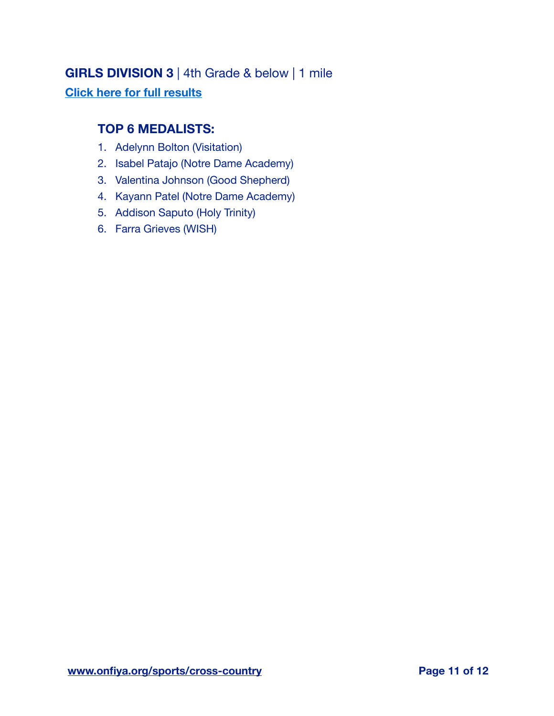# **GIRLS DIVISION 3** | 4th Grade & below | 1 mile

# **[Click here for full results](https://www.athletic.net/CrossCountry/meet/198785/results/796656)**

#### **TOP 6 MEDALISTS:**

- 1. Adelynn Bolton (Visitation)
- 2. Isabel Patajo (Notre Dame Academy)
- 3. Valentina Johnson (Good Shepherd)
- 4. Kayann Patel (Notre Dame Academy)
- 5. Addison Saputo (Holy Trinity)
- 6. Farra Grieves (WISH)